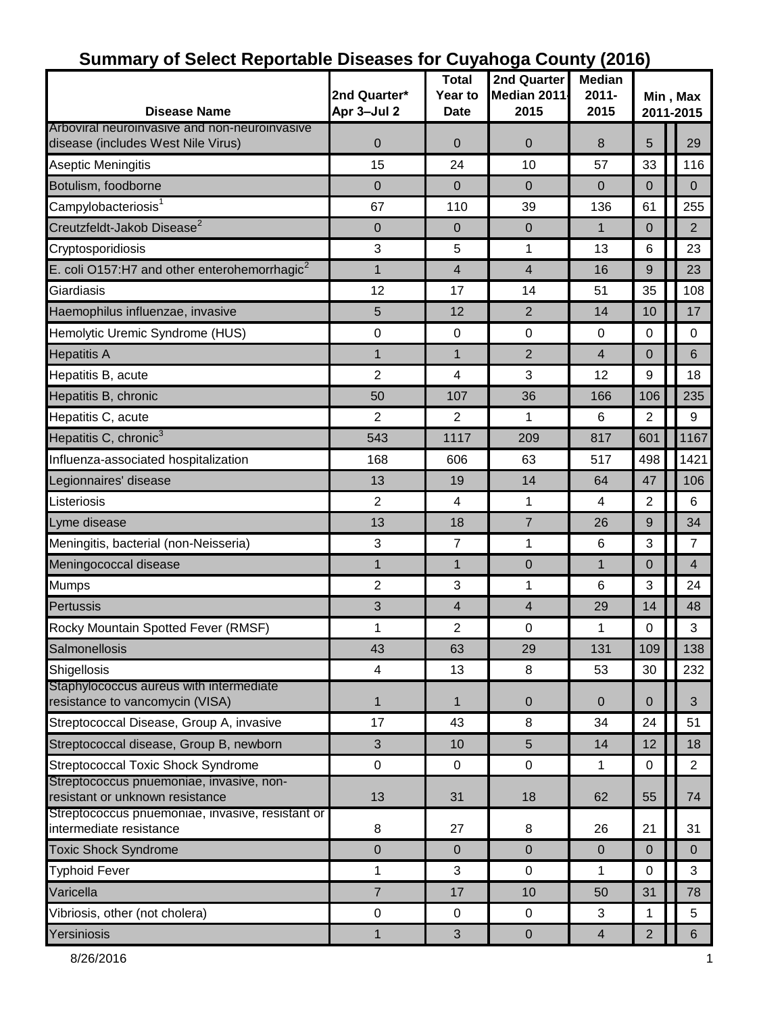| <b>Disease Name</b>                                                                 | 2nd Quarter*<br>Apr 3-Jul 2 | <b>Total</b><br>Year to<br><b>Date</b> | 2nd Quarter<br>Median 2011<br>2015 | <b>Median</b><br>$2011 -$<br>2015 | Min, Max<br>2011-2015 |                |  |
|-------------------------------------------------------------------------------------|-----------------------------|----------------------------------------|------------------------------------|-----------------------------------|-----------------------|----------------|--|
| Arboviral neuroinvasive and non-neuroinvasive<br>disease (includes West Nile Virus) | $\pmb{0}$                   | 0                                      | $\pmb{0}$                          | 8                                 | 5                     | 29             |  |
| Aseptic Meningitis                                                                  | 15                          | 24                                     | 10                                 | 57                                | 33                    | 116            |  |
| Botulism, foodborne                                                                 | $\boldsymbol{0}$            | 0                                      | $\mathbf 0$                        | $\overline{0}$                    | $\mathbf 0$           | $\mathbf{0}$   |  |
| Campylobacteriosis <sup>1</sup>                                                     | 67                          | 110                                    | 39                                 | 136                               | 61                    | 255            |  |
| Creutzfeldt-Jakob Disease <sup>2</sup>                                              | $\boldsymbol{0}$            | 0                                      | $\mathbf 0$                        | $\mathbf{1}$                      | $\mathbf 0$           | $\overline{2}$ |  |
| Cryptosporidiosis                                                                   | $\mathbf{3}$                | 5                                      | 1                                  | 13                                | 6                     | 23             |  |
| E. coli O157:H7 and other enterohemorrhagic <sup>2</sup>                            | 1                           | 4                                      | 4                                  | 16                                | 9                     | 23             |  |
| Giardiasis                                                                          | 12                          | 17                                     | 14                                 | 51                                | 35                    | 108            |  |
| Haemophilus influenzae, invasive                                                    | 5                           | 12                                     | $\overline{2}$                     | 14                                | 10                    | 17             |  |
| Hemolytic Uremic Syndrome (HUS)                                                     | 0                           | 0                                      | $\mathbf 0$                        | $\mathbf 0$                       | 0                     | $\mathbf 0$    |  |
| <b>Hepatitis A</b>                                                                  | $\mathbf{1}$                | $\mathbf{1}$                           | $\overline{2}$                     | $\overline{4}$                    | $\overline{0}$        | 6              |  |
| Hepatitis B, acute                                                                  | $\overline{2}$              | 4                                      | 3                                  | 12                                | 9                     | 18             |  |
| Hepatitis B, chronic                                                                | 50                          | 107                                    | 36                                 | 166                               | 106                   | 235            |  |
| Hepatitis C, acute                                                                  | $\overline{2}$              | 2                                      | 1                                  | 6                                 | $\overline{2}$        | 9              |  |
| Hepatitis C, chronic <sup>3</sup>                                                   | 543                         | 1117                                   | 209                                | 817                               | 601                   | 1167           |  |
| Influenza-associated hospitalization                                                | 168                         | 606                                    | 63                                 | 517                               | 498                   | 1421           |  |
| Legionnaires' disease                                                               | 13                          | 19                                     | 14                                 | 64                                | 47                    | 106            |  |
| Listeriosis                                                                         | $\overline{2}$              | 4                                      | 1                                  | 4                                 | 2                     | 6              |  |
| Lyme disease                                                                        | 13                          | 18                                     | 7                                  | 26                                | 9                     | 34             |  |
| Meningitis, bacterial (non-Neisseria)                                               | $\ensuremath{\mathsf{3}}$   | 7                                      | 1                                  | 6                                 | 3                     | $\overline{7}$ |  |
| Meningococcal disease                                                               | 1                           | 1                                      | 0                                  | $\mathbf{1}$                      | $\mathbf 0$           | $\overline{4}$ |  |
| <b>Mumps</b>                                                                        | $\overline{2}$              | 3                                      | 1                                  | 6                                 | 3                     | 24             |  |
| <b>Pertussis</b>                                                                    | $\mathfrak{S}$              | 4                                      | 4                                  | 29                                | 14                    | 48             |  |
| Rocky Mountain Spotted Fever (RMSF)                                                 | 1                           | 2                                      | $\pmb{0}$                          | 1                                 | 0                     | 3              |  |
| Salmonellosis                                                                       | 43                          | 63                                     | 29                                 | 131                               | 109                   | 138            |  |
| Shigellosis                                                                         | $\overline{\mathbf{4}}$     | 13                                     | 8                                  | 53                                | 30                    | 232            |  |
| Staphylococcus aureus with intermediate<br>resistance to vancomycin (VISA)          | $\mathbf{1}$                | $\mathbf 1$                            | 0                                  | $\overline{0}$                    | 0                     | 3              |  |
| Streptococcal Disease, Group A, invasive                                            | 17                          | 43                                     | 8                                  | 34                                | 24                    | 51             |  |
| Streptococcal disease, Group B, newborn                                             | 3                           | 10                                     | $5\phantom{.}$                     | 14                                | 12                    | 18             |  |
| <b>Streptococcal Toxic Shock Syndrome</b>                                           | $\pmb{0}$                   | 0                                      | $\mathbf 0$                        | 1                                 | 0                     | $\overline{2}$ |  |
| Streptococcus pnuemoniae, invasive, non-<br>resistant or unknown resistance         | 13                          | 31                                     | 18                                 | 62                                | 55                    | 74             |  |
| Streptococcus pnuemoniae, invasive, resistant or<br>intermediate resistance         | 8                           | 27                                     | 8                                  | 26                                | 21                    | 31             |  |
| <b>Toxic Shock Syndrome</b>                                                         | $\pmb{0}$                   | $\mathbf 0$                            | $\overline{0}$                     | $\mathbf{0}$                      | $\mathbf{0}$          | $\overline{0}$ |  |
| <b>Typhoid Fever</b>                                                                | 1                           | 3                                      | $\mathbf 0$                        | 1                                 | 0                     | 3              |  |
| Varicella                                                                           | $\overline{7}$              | 17                                     | 10                                 | 50                                | 31                    | 78             |  |
| Vibriosis, other (not cholera)                                                      | $\pmb{0}$                   | 0                                      | $\mathbf 0$                        | 3                                 | 1                     | 5              |  |
| Yersiniosis                                                                         | $\mathbf{1}$                | 3                                      | $\pmb{0}$                          | $\overline{4}$                    | $\overline{c}$        | $6^{\circ}$    |  |

### **Summary of Select Reportable Diseases for Cuyahoga County (2016)**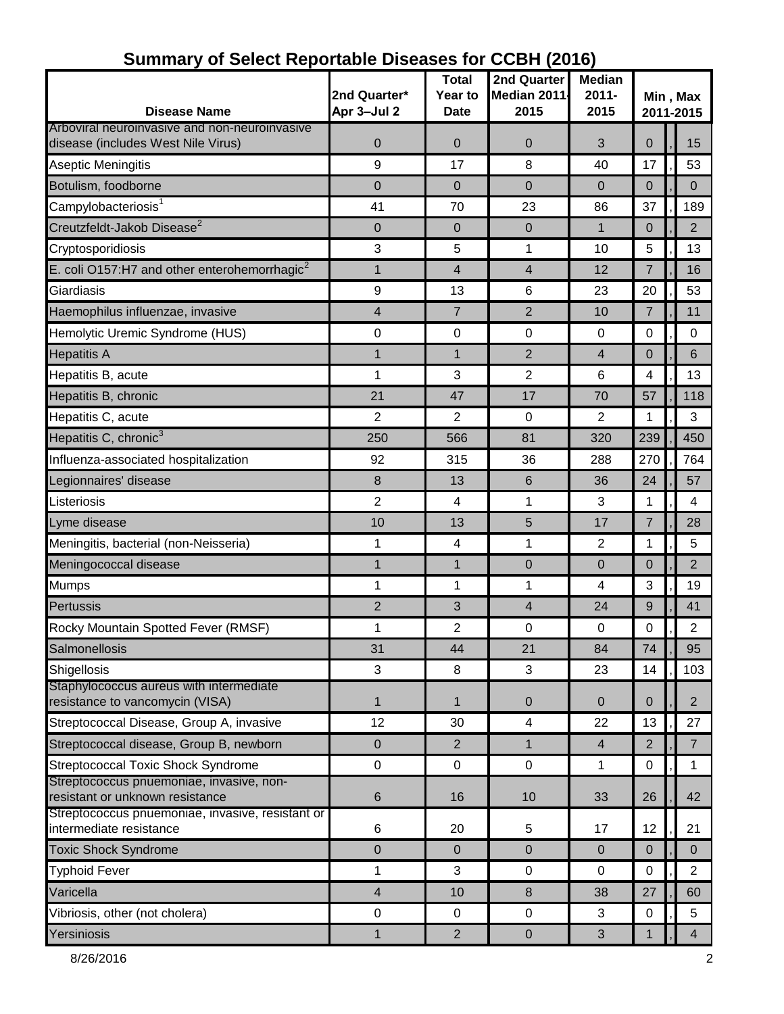| <b>Disease Name</b>                                                         | 2nd Quarter*<br>Apr 3-Jul 2 | Total<br>Year to<br><b>Date</b> | 2nd Quarter<br>Median 2011<br>2015 | <b>Median</b><br>$2011 -$<br>2015 | Min, Max<br>2011-2015 |  |                |  |
|-----------------------------------------------------------------------------|-----------------------------|---------------------------------|------------------------------------|-----------------------------------|-----------------------|--|----------------|--|
| Arboviral neuroinvasive and non-neuroinvasive                               |                             |                                 |                                    |                                   |                       |  |                |  |
| disease (includes West Nile Virus)                                          | 0                           | 0                               | 0                                  | 3                                 | $\overline{0}$        |  | 15             |  |
| Aseptic Meningitis                                                          | 9                           | 17                              | 8                                  | 40                                | 17                    |  | 53             |  |
| Botulism, foodborne                                                         | $\mathbf 0$                 | $\Omega$                        | 0                                  | $\Omega$                          | 0                     |  | $\Omega$       |  |
| Campylobacteriosis <sup>1</sup>                                             | 41                          | 70                              | 23                                 | 86                                | 37                    |  | 189            |  |
| Creutzfeldt-Jakob Disease <sup>2</sup>                                      | 0                           | 0                               | 0                                  | $\mathbf{1}$                      | $\overline{0}$        |  | $\overline{2}$ |  |
| Cryptosporidiosis                                                           | $\mathbf{3}$                | 5                               | 1                                  | 10                                | 5                     |  | 13             |  |
| E. coli O157:H7 and other enterohemorrhagic $^2$                            | $\mathbf{1}$                | 4                               | 4                                  | 12                                | $\overline{7}$        |  | 16             |  |
| Giardiasis                                                                  | 9                           | 13                              | 6                                  | 23                                | 20                    |  | 53             |  |
| Haemophilus influenzae, invasive                                            | $\overline{\mathbf{4}}$     | $\overline{7}$                  | $\overline{2}$                     | 10                                | 7                     |  | 11             |  |
| Hemolytic Uremic Syndrome (HUS)                                             | 0                           | 0                               | 0                                  | $\mathbf 0$                       | 0                     |  | 0              |  |
| <b>Hepatitis A</b>                                                          | $\mathbf 1$                 | $\mathbf{1}$                    | $\overline{2}$                     | 4                                 | 0                     |  | 6              |  |
| Hepatitis B, acute                                                          | 1                           | 3                               | $\overline{2}$                     | 6                                 | 4                     |  | 13             |  |
| Hepatitis B, chronic                                                        | 21                          | 47                              | 17                                 | 70                                | 57                    |  | 118            |  |
| Hepatitis C, acute                                                          | $\overline{2}$              | $\overline{2}$                  | $\mathbf 0$                        | 2                                 | 1                     |  | 3              |  |
| Hepatitis C, chronic <sup>3</sup>                                           | 250                         | 566                             | 81                                 | 320                               | 239                   |  | 450            |  |
| Influenza-associated hospitalization                                        | 92                          | 315                             | 36                                 | 288                               | 270                   |  | 764            |  |
| Legionnaires' disease                                                       | 8                           | 13                              | 6                                  | 36                                | 24                    |  | 57             |  |
| Listeriosis                                                                 | $\overline{2}$              | 4                               | 1                                  | 3                                 | 1                     |  | 4              |  |
| Lyme disease                                                                | 10                          | 13                              | 5                                  | 17                                | $\overline{7}$        |  | 28             |  |
| Meningitis, bacterial (non-Neisseria)                                       | 1                           | 4                               | 1                                  | $\overline{2}$                    | 1                     |  | 5              |  |
| Meningococcal disease                                                       | $\mathbf{1}$                | 1                               | $\pmb{0}$                          | $\overline{0}$                    | $\overline{0}$        |  | $\overline{2}$ |  |
| <b>Mumps</b>                                                                | $\mathbf{1}$                | 1                               | 1                                  | $\overline{4}$                    | 3                     |  | 19             |  |
| <b>Pertussis</b>                                                            | $\overline{2}$              | 3                               | 4                                  | 24                                | 9                     |  | 41             |  |
| Rocky Mountain Spotted Fever (RMSF)                                         | 1                           | 2                               | $\pmb{0}$                          | $\mathbf 0$                       | 0                     |  | $\overline{2}$ |  |
| Salmonellosis                                                               | 31                          | 44                              | 21                                 | 84                                | 74                    |  | 95             |  |
| Shigellosis                                                                 | 3                           | 8                               | 3                                  | 23                                | 14                    |  | 103            |  |
| Staphylococcus aureus with intermediate<br>resistance to vancomycin (VISA)  | $\mathbf{1}$                | $\mathbf{1}$                    | $\pmb{0}$                          | $\mathbf 0$                       | $\pmb{0}$             |  | $\overline{2}$ |  |
| Streptococcal Disease, Group A, invasive                                    | 12                          | 30                              | 4                                  | 22                                | 13                    |  | 27             |  |
| Streptococcal disease, Group B, newborn                                     | $\pmb{0}$                   | $\overline{2}$                  | $\mathbf{1}$                       | $\overline{4}$                    | $\overline{2}$        |  | $\overline{7}$ |  |
| <b>Streptococcal Toxic Shock Syndrome</b>                                   | $\pmb{0}$                   | $\mathbf 0$                     | $\pmb{0}$                          | 1                                 | $\mathbf 0$           |  | 1              |  |
| Streptococcus pnuemoniae, invasive, non-<br>resistant or unknown resistance | $\,6$                       | 16                              | 10                                 | 33                                | 26                    |  | 42             |  |
| Streptococcus pnuemoniae, invasive, resistant or<br>intermediate resistance | 6                           | 20                              | 5                                  | 17                                | 12                    |  | 21             |  |
| <b>Toxic Shock Syndrome</b>                                                 | $\pmb{0}$                   | 0                               | $\pmb{0}$                          | $\overline{0}$                    | $\mathbf 0$           |  | $\overline{0}$ |  |
| <b>Typhoid Fever</b>                                                        | 1                           | 3                               | $\mathbf 0$                        | 0                                 | $\mathbf 0$           |  | $\overline{2}$ |  |
| Varicella                                                                   | $\overline{4}$              | 10                              | 8                                  | 38                                | 27                    |  | 60             |  |
| Vibriosis, other (not cholera)                                              | 0                           | $\mathbf 0$                     | $\pmb{0}$                          | 3                                 | 0                     |  | 5              |  |
| Yersiniosis                                                                 | $\mathbf{1}$                | $\overline{2}$                  | $\mathbf 0$                        | $\mathfrak{S}$                    | 1                     |  | 4              |  |

#### **Summary of Select Reportable Diseases for CCBH (2016)**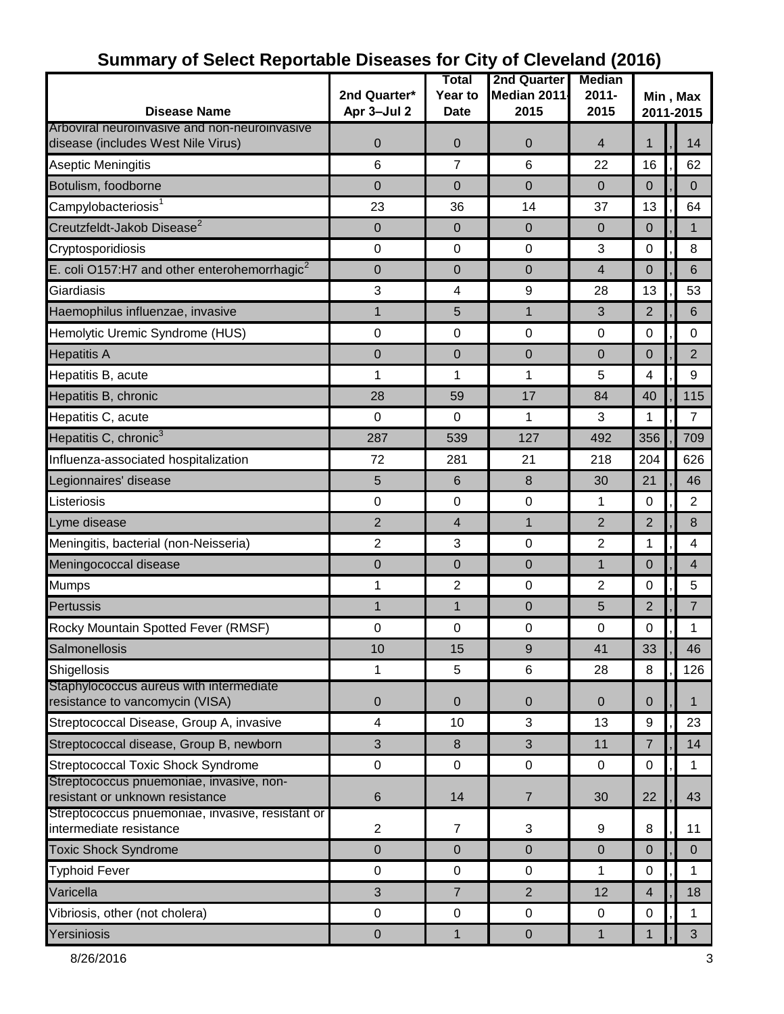|                                                                                       |                             | Total                         | <b>2nd Quarter</b>  | <b>Median</b>    |                       |  |                |
|---------------------------------------------------------------------------------------|-----------------------------|-------------------------------|---------------------|------------------|-----------------------|--|----------------|
| <b>Disease Name</b>                                                                   | 2nd Quarter*<br>Apr 3-Jul 2 | <b>Year to</b><br><b>Date</b> | Median 2011<br>2015 | $2011 -$<br>2015 | Min, Max<br>2011-2015 |  |                |
| Arboviral neuroinvasive and non-neuroinvasive                                         |                             |                               |                     |                  |                       |  |                |
| disease (includes West Nile Virus)                                                    | $\mathbf 0$                 | 0                             | 0                   | $\overline{4}$   | 1                     |  | 14             |
| Aseptic Meningitis                                                                    | 6                           | $\overline{7}$                | 6                   | 22               | 16                    |  | 62             |
| Botulism, foodborne                                                                   | 0                           | 0                             | 0                   | $\overline{0}$   | 0                     |  | 0              |
| Campylobacteriosis <sup>1</sup>                                                       | 23                          | 36                            | 14                  | 37               | 13                    |  | 64             |
| Creutzfeldt-Jakob Disease <sup>2</sup>                                                | 0                           | 0                             | 0                   | $\overline{0}$   | $\mathbf 0$           |  | $\mathbf{1}$   |
| Cryptosporidiosis                                                                     | $\mathbf 0$                 | 0                             | $\pmb{0}$           | 3                | 0                     |  | 8              |
| E. coli O157:H7 and other enterohemorrhagic $^2$                                      | 0                           | 0                             | 0                   | $\overline{4}$   | $\overline{0}$        |  | 6              |
| Giardiasis                                                                            | 3                           | 4                             | 9                   | 28               | 13                    |  | 53             |
| Haemophilus influenzae, invasive                                                      | $\mathbf{1}$                | 5                             | $\mathbf{1}$        | 3                | $\overline{2}$        |  | 6              |
| Hemolytic Uremic Syndrome (HUS)                                                       | 0                           | 0                             | $\mathbf 0$         | $\mathbf 0$      | 0                     |  | 0              |
| <b>Hepatitis A</b>                                                                    | $\mathbf 0$                 | 0                             | $\mathbf 0$         | $\overline{0}$   | 0                     |  | $\overline{2}$ |
| Hepatitis B, acute                                                                    | 1                           | 1                             | 1                   | 5                | 4                     |  | 9              |
| Hepatitis B, chronic                                                                  | 28                          | 59                            | 17                  | 84               | 40                    |  | 115            |
| Hepatitis C, acute                                                                    | $\pmb{0}$                   | 0                             | 1                   | 3                | 1                     |  | $\overline{7}$ |
| Hepatitis C, chronic <sup>3</sup>                                                     | 287                         | 539                           | 127                 | 492              | 356                   |  | 709            |
| Influenza-associated hospitalization                                                  | 72                          | 281                           | 21                  | 218              | 204                   |  | 626            |
| Legionnaires' disease                                                                 | 5                           | 6                             | 8                   | 30               | 21                    |  | 46             |
| Listeriosis                                                                           | $\pmb{0}$                   | 0                             | $\pmb{0}$           | 1                | 0                     |  | $\overline{2}$ |
| Lyme disease                                                                          | $\overline{2}$              | 4                             | $\mathbf{1}$        | $\overline{2}$   | $\overline{2}$        |  | 8              |
| Meningitis, bacterial (non-Neisseria)                                                 | $\overline{2}$              | 3                             | 0                   | $\overline{2}$   | 1                     |  | 4              |
| Meningococcal disease                                                                 | $\mathbf 0$                 | $\overline{0}$                | $\mathbf 0$         | $\mathbf{1}$     | 0                     |  | 4              |
| <b>Mumps</b>                                                                          | 1                           | $\overline{2}$                | 0                   | $\overline{2}$   | 0                     |  | 5              |
| Pertussis                                                                             | $\mathbf{1}$                | $\mathbf{1}$                  | 0                   | 5                | $\overline{2}$        |  | $\overline{7}$ |
| Rocky Mountain Spotted Fever (RMSF)                                                   | 0                           | 0                             | 0                   | $\mathbf 0$      | 0                     |  | 1              |
| Salmonellosis                                                                         | 10                          | 15                            | 9                   | 41               | 33                    |  | 46             |
| Shigellosis                                                                           | 1                           | 5                             | 6                   | 28               | 8                     |  | 126            |
| Staphylococcus aureus with intermediate<br>resistance to vancomycin (VISA)            | $\pmb{0}$                   | 0                             |                     | $\mathbf 0$      | $\mathbf{0}$          |  | $\mathbf 1$    |
| Streptococcal Disease, Group A, invasive                                              | $\overline{\mathbf{4}}$     | 10                            | $\mathbf 0$<br>3    | 13               | 9                     |  | 23             |
|                                                                                       | 3                           |                               | 3                   |                  |                       |  | 14             |
| Streptococcal disease, Group B, newborn                                               |                             | $\,8\,$                       |                     | 11               | $\overline{7}$        |  |                |
| <b>Streptococcal Toxic Shock Syndrome</b><br>Streptococcus pnuemoniae, invasive, non- | $\pmb{0}$                   | $\mathbf 0$                   | $\pmb{0}$           | $\mathbf 0$      | $\mathbf 0$           |  | 1              |
| resistant or unknown resistance                                                       | $\,6$                       | 14                            | $\overline{7}$      | 30               | 22                    |  | 43             |
| Streptococcus pnuemoniae, invasive, resistant or                                      |                             |                               |                     |                  |                       |  |                |
| intermediate resistance                                                               | $\overline{2}$              | $\overline{7}$                | 3                   | 9                | 8                     |  | 11             |
| <b>Toxic Shock Syndrome</b>                                                           | $\pmb{0}$                   | 0                             | $\mathbf 0$         | $\overline{0}$   | $\overline{0}$        |  | $\mathbf 0$    |
| <b>Typhoid Fever</b>                                                                  | $\mathbf 0$                 | $\pmb{0}$                     | $\pmb{0}$           | 1                | 0                     |  | 1              |
| Varicella                                                                             | 3                           | $\overline{7}$                | $\overline{2}$      | 12               | $\overline{4}$        |  | 18             |
| Vibriosis, other (not cholera)                                                        | $\pmb{0}$                   | 0                             | $\pmb{0}$           | 0                | $\pmb{0}$             |  | 1              |
| Yersiniosis                                                                           | $\pmb{0}$                   | 1                             | $\pmb{0}$           | $\mathbf{1}$     | 1                     |  | 3 <sup>1</sup> |

# **Summary of Select Reportable Diseases for City of Cleveland (2016)**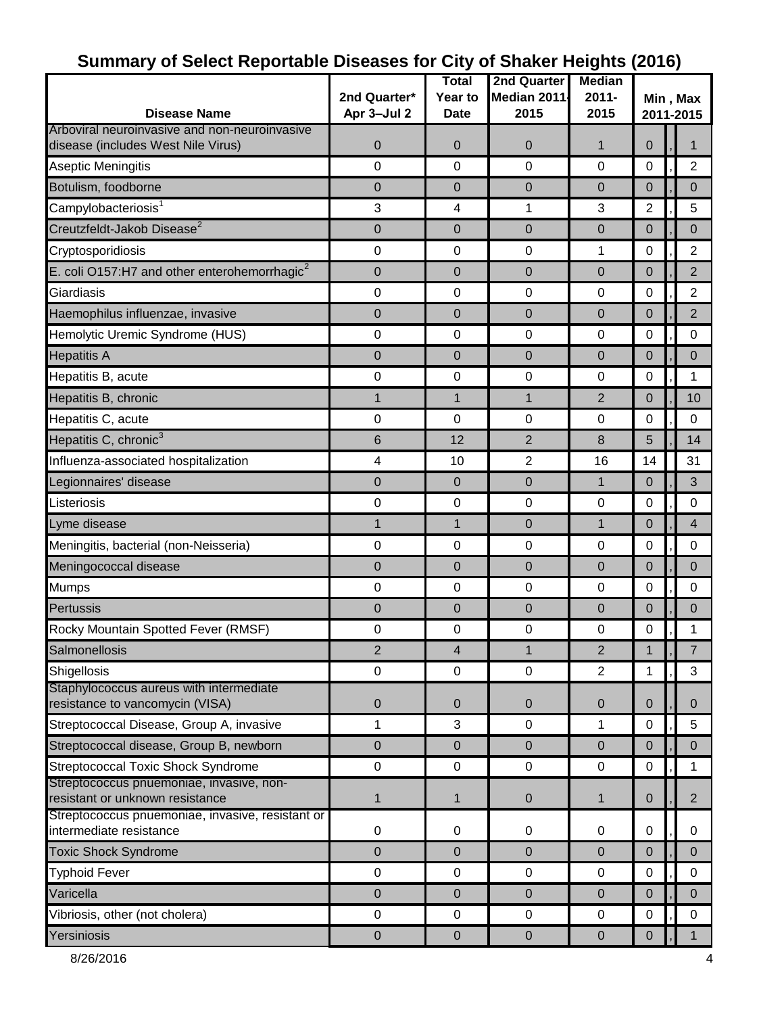|                                                                                     |                         | <b>Total</b>   | 2nd Quarter    | <b>Median</b>  |                       |  |                |  |
|-------------------------------------------------------------------------------------|-------------------------|----------------|----------------|----------------|-----------------------|--|----------------|--|
|                                                                                     | 2nd Quarter*            | Year to        | Median 2011    | $2011 -$       | Min, Max<br>2011-2015 |  |                |  |
| <b>Disease Name</b>                                                                 | Apr 3-Jul 2             | <b>Date</b>    | 2015           | 2015           |                       |  |                |  |
| Arboviral neuroinvasive and non-neuroinvasive                                       |                         |                |                |                |                       |  |                |  |
| disease (includes West Nile Virus)                                                  | $\mathbf 0$             | 0              | 0              | $\mathbf{1}$   | $\Omega$              |  |                |  |
| Aseptic Meningitis                                                                  | $\mathbf 0$             | 0              | $\mathbf 0$    | $\Omega$       | $\mathbf 0$           |  | $\overline{2}$ |  |
| Botulism, foodborne                                                                 | $\mathbf 0$             | 0              | 0              | $\overline{0}$ | $\mathbf 0$           |  | 0              |  |
| Campylobacteriosis <sup>1</sup>                                                     | 3                       | 4              | 1              | 3              | $\overline{2}$        |  | 5              |  |
| Creutzfeldt-Jakob Disease <sup>2</sup>                                              | $\mathbf 0$             | 0              | 0              | $\overline{0}$ | $\mathbf 0$           |  | $\Omega$       |  |
| Cryptosporidiosis                                                                   | $\pmb{0}$               | 0              | $\pmb{0}$      | 1              | 0                     |  | $\overline{2}$ |  |
| E. coli O157:H7 and other enterohemorrhagic <sup>2</sup>                            | $\mathbf 0$             | $\overline{0}$ | 0              | $\overline{0}$ | $\overline{0}$        |  | $\overline{2}$ |  |
| Giardiasis                                                                          | 0                       | $\pmb{0}$      | $\pmb{0}$      | $\mathbf 0$    | 0                     |  | $\overline{2}$ |  |
| Haemophilus influenzae, invasive                                                    | $\mathbf 0$             | 0              | $\pmb{0}$      | $\mathbf 0$    | $\mathbf 0$           |  | $\overline{2}$ |  |
| Hemolytic Uremic Syndrome (HUS)                                                     | 0                       | 0              | 0              | $\mathbf 0$    | 0                     |  | 0              |  |
| <b>Hepatitis A</b>                                                                  | $\mathbf 0$             | 0              | 0              | $\overline{0}$ | $\mathbf 0$           |  | 0              |  |
| Hepatitis B, acute                                                                  | 0                       | $\mathbf 0$    | 0              | $\mathbf 0$    | 0                     |  | 1              |  |
| Hepatitis B, chronic                                                                | $\mathbf{1}$            | $\mathbf{1}$   | $\mathbf{1}$   | 2              | $\mathbf 0$           |  | 10             |  |
| Hepatitis C, acute                                                                  | 0                       | 0              | $\pmb{0}$      | $\mathbf 0$    | 0                     |  | $\mathbf 0$    |  |
| Hepatitis C, chronic <sup>3</sup>                                                   | 6                       | 12             | $\overline{2}$ | 8              | 5                     |  | 14             |  |
| Influenza-associated hospitalization                                                | $\overline{\mathbf{4}}$ | 10             | $\overline{2}$ | 16             | 14                    |  | 31             |  |
| Legionnaires' disease                                                               | $\boldsymbol{0}$        | $\mathbf 0$    | $\pmb{0}$      | $\mathbf{1}$   | $\mathbf 0$           |  | 3              |  |
| Listeriosis                                                                         | 0                       | $\mathbf 0$    | 0              | $\mathbf 0$    | 0                     |  | $\mathbf 0$    |  |
| Lyme disease                                                                        | 1                       | $\mathbf{1}$   | $\pmb{0}$      | $\mathbf{1}$   | $\mathbf 0$           |  | $\overline{4}$ |  |
| Meningitis, bacterial (non-Neisseria)                                               | $\pmb{0}$               | 0              | $\pmb{0}$      | $\mathbf 0$    | 0                     |  | $\mathbf 0$    |  |
| Meningococcal disease                                                               | $\pmb{0}$               | 0              | $\pmb{0}$      | $\overline{0}$ | $\mathbf 0$           |  | $\Omega$       |  |
| <b>Mumps</b>                                                                        | 0                       | $\mathbf 0$    | $\pmb{0}$      | $\mathbf 0$    | 0                     |  | $\mathbf 0$    |  |
| Pertussis                                                                           | $\pmb{0}$               | 0              | $\pmb{0}$      | $\mathbf 0$    | 0                     |  | 0              |  |
| Rocky Mountain Spotted Fever (RMSF)                                                 | 0                       | $\pmb{0}$      | 0              | $\mathbf 0$    | 0                     |  | 1              |  |
| Salmonellosis                                                                       | $\overline{2}$          | 4              | $\mathbf{1}$   | $\overline{2}$ |                       |  | $\overline{7}$ |  |
| Shigellosis                                                                         | $\mathbf 0$             | $\mathbf 0$    | $\mathbf 0$    | $\overline{2}$ | 1                     |  | 3              |  |
| Staphylococcus aureus with intermediate                                             |                         |                |                |                |                       |  |                |  |
| resistance to vancomycin (VISA)                                                     | $\pmb{0}$               | $\pmb{0}$      | $\pmb{0}$      | $\pmb{0}$      | $\mathbf 0$           |  | $\mathbf{0}$   |  |
| Streptococcal Disease, Group A, invasive                                            | 1                       | 3              | $\pmb{0}$      | 1              | 0                     |  | 5              |  |
| Streptococcal disease, Group B, newborn                                             | 0                       | $\pmb{0}$      | $\pmb{0}$      | $\mathbf 0$    | $\mathbf 0$           |  | $\pmb{0}$      |  |
| <b>Streptococcal Toxic Shock Syndrome</b>                                           | $\pmb{0}$               | $\mathsf 0$    | $\pmb{0}$      | 0              | $\mathbf 0$           |  | 1              |  |
| Streptococcus pnuemoniae, invasive, non-                                            |                         |                |                |                |                       |  |                |  |
| resistant or unknown resistance<br>Streptococcus pnuemoniae, invasive, resistant or | 1                       | 1              | 0              | $\mathbf{1}$   | $\mathbf 0$           |  | $\overline{2}$ |  |
| intermediate resistance                                                             | $\pmb{0}$               | 0              | 0              | 0              | 0                     |  | 0              |  |
| <b>Toxic Shock Syndrome</b>                                                         | $\mathbf 0$             | 0              | $\mathbf 0$    | $\mathbf 0$    | $\overline{0}$        |  | $\Omega$       |  |
| <b>Typhoid Fever</b>                                                                | $\pmb{0}$               | $\mathbf 0$    | 0              | $\pmb{0}$      | $\pmb{0}$             |  | 0              |  |
| Varicella                                                                           | $\mathbf 0$             | 0              | 0              | $\overline{0}$ | $\overline{0}$        |  | 0              |  |
| Vibriosis, other (not cholera)                                                      | $\pmb{0}$               | 0              | $\pmb{0}$      | 0              | 0                     |  | 0              |  |
| Yersiniosis                                                                         | $\pmb{0}$               | $\pmb{0}$      | $\pmb{0}$      | $\pmb{0}$      | $\pmb{0}$             |  | 1              |  |
|                                                                                     |                         |                |                |                |                       |  |                |  |

## **Summary of Select Reportable Diseases for City of Shaker Heights (2016)**